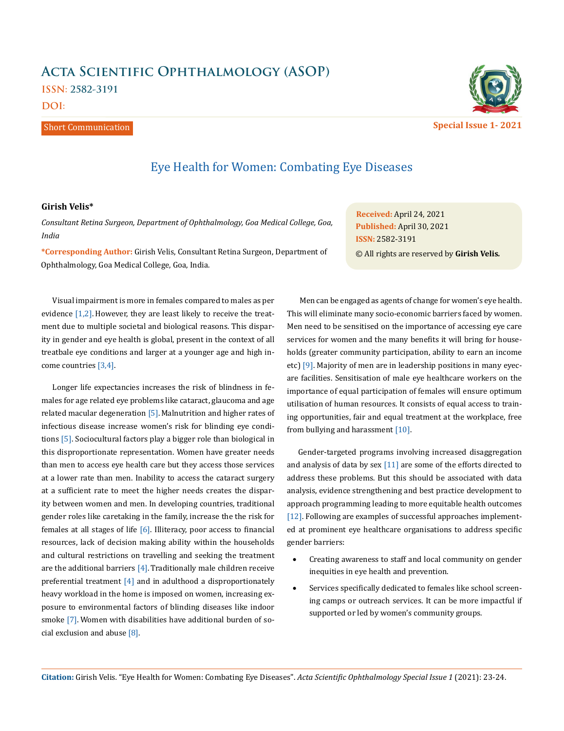# **Acta Scientific Ophthalmology (ASOP) ISSN: 2582-3191**

**DOI:** 

#### Short Communication



# Eye Health for Women: Combating Eye Diseases

## **Girish Velis\***

*Consultant Retina Surgeon, Department of Ophthalmology, Goa Medical College, Goa, India* 

**\*Corresponding Author:** Girish Velis, Consultant Retina Surgeon, Department of Ophthalmology, Goa Medical College, Goa, India.

Visual impairment is more in females compared to males as per evidence [1,2]. However, they are least likely to receive the treatment due to multiple societal and biological reasons. This disparity in gender and eye health is global, present in the context of all treatbale eye conditions and larger at a younger age and high income countries [3,4].

Longer life expectancies increases the risk of blindness in females for age related eye problems like cataract, glaucoma and age related macular degeneration [5]. Malnutrition and higher rates of infectious disease increase women's risk for blinding eye conditions [5]. Sociocultural factors play a bigger role than biological in this disproportionate representation. Women have greater needs than men to access eye health care but they access those services at a lower rate than men. Inability to access the cataract surgery at a sufficient rate to meet the higher needs creates the disparity between women and men. In developing countries, traditional gender roles like caretaking in the family, increase the the risk for females at all stages of life [6]. Illiteracy, poor access to financial resources, lack of decision making ability within the households and cultural restrictions on travelling and seeking the treatment are the additional barriers  $[4]$ . Traditionally male children receive preferential treatment [4] and in adulthood a disproportionately heavy workload in the home is imposed on women, increasing exposure to environmental factors of blinding diseases like indoor smoke [7]. Women with disabilities have additional burden of social exclusion and abuse  $[8]$ .

**Received:** April 24, 2021 **Published:** April 30, 2021 © All rights are reserved by **Girish Velis***.* **ISSN:** 2582-3191

 Men can be engaged as agents of change for women's eye health. This will eliminate many socio-economic barriers faced by women. Men need to be sensitised on the importance of accessing eye care services for women and the many benefits it will bring for households (greater community participation, ability to earn an income etc) [9]. Majority of men are in leadership positions in many eyecare facilities. Sensitisation of male eye healthcare workers on the importance of equal participation of females will ensure optimum utilisation of human resources. It consists of equal access to training opportunities, fair and equal treatment at the workplace, free from bullying and harassment [10].

Gender-targeted programs involving increased disaggregation and analysis of data by sex  $[11]$  are some of the efforts directed to address these problems. But this should be associated with data analysis, evidence strengthening and best practice development to approach programming leading to more equitable health outcomes [12]. Following are examples of successful approaches implemented at prominent eye healthcare organisations to address specific gender barriers:

- Creating awareness to staff and local community on gender inequities in eye health and prevention.
- Services specifically dedicated to females like school screening camps or outreach services. It can be more impactful if supported or led by women's community groups.

**Citation:** Girish Velis*.* "Eye Health for Women: Combating Eye Diseases". *Acta Scientific Ophthalmology Special Issue 1* (2021): 23-24.